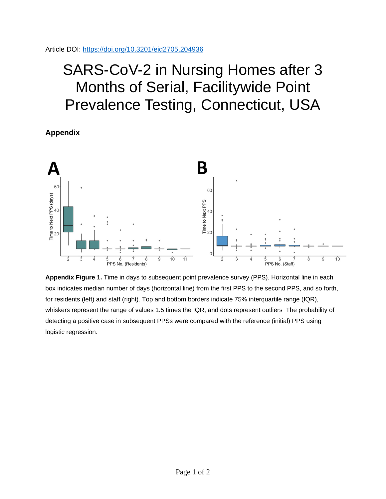## SARS-CoV-2 in Nursing Homes after 3 Months of Serial, Facilitywide Point Prevalence Testing, Connecticut, USA

**Appendix**



**Appendix Figure 1.** Time in days to subsequent point prevalence survey (PPS). Horizontal line in each box indicates median number of days (horizontal line) from the first PPS to the second PPS, and so forth, for residents (left) and staff (right). Top and bottom borders indicate 75% interquartile range (IQR), whiskers represent the range of values 1.5 times the IQR, and dots represent outliers The probability of detecting a positive case in subsequent PPSs were compared with the reference (initial) PPS using logistic regression.